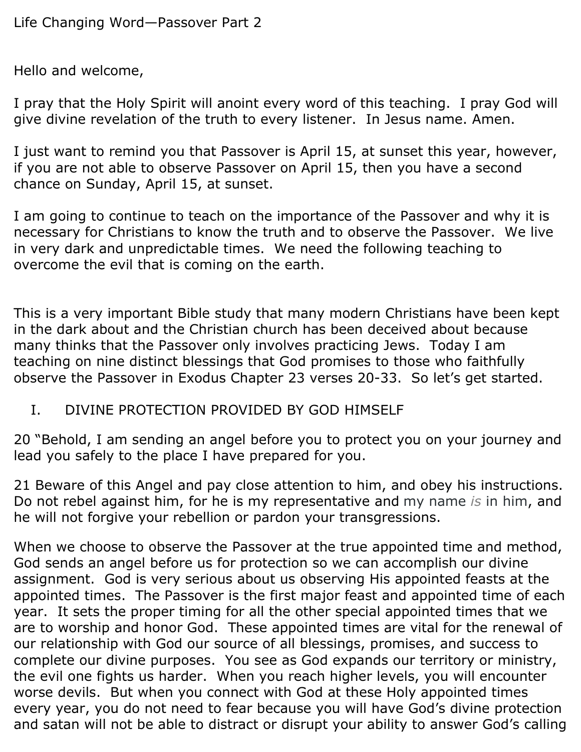Hello and welcome,

I pray that the Holy Spirit will anoint every word of this teaching. I pray God will give divine revelation of the truth to every listener. In Jesus name. Amen.

I just want to remind you that Passover is April 15, at sunset this year, however, if you are not able to observe Passover on April 15, then you have a second chance on Sunday, April 15, at sunset.

I am going to continue to teach on the importance of the Passover and why it is necessary for Christians to know the truth and to observe the Passover. We live in very dark and unpredictable times. We need the following teaching to overcome the evil that is coming on the earth.

This is a very important Bible study that many modern Christians have been kept in the dark about and the Christian church has been deceived about because many thinks that the Passover only involves practicing Jews. Today I am teaching on nine distinct blessings that God promises to those who faithfully observe the Passover in Exodus Chapter 23 verses 20-33. So let's get started.

I. DIVINE PROTECTION PROVIDED BY GOD HIMSELF

20 "Behold, I am sending an angel before you to protect you on your journey and lead you safely to the place I have prepared for you.

21 Beware of this Angel and pay close attention to him, and obey his instructions. Do not rebel against him, for he is my representative and my name *is* in him, and he will not forgive your rebellion or pardon your transgressions.

When we choose to observe the Passover at the true appointed time and method, God sends an angel before us for protection so we can accomplish our divine assignment. God is very serious about us observing His appointed feasts at the appointed times. The Passover is the first major feast and appointed time of each year. It sets the proper timing for all the other special appointed times that we are to worship and honor God. These appointed times are vital for the renewal of our relationship with God our source of all blessings, promises, and success to complete our divine purposes. You see as God expands our territory or ministry, the evil one fights us harder. When you reach higher levels, you will encounter worse devils. But when you connect with God at these Holy appointed times every year, you do not need to fear because you will have God's divine protection and satan will not be able to distract or disrupt your ability to answer God's calling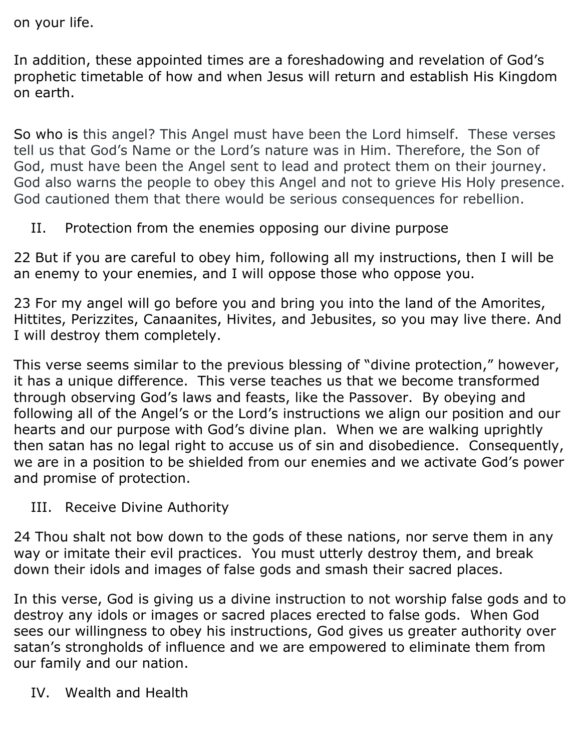on your life.

In addition, these appointed times are a foreshadowing and revelation of God's prophetic timetable of how and when Jesus will return and establish His Kingdom on earth.

So who is this angel? This Angel must have been the Lord himself. These verses tell us that God's Name or the Lord's nature was in Him. Therefore, the Son of God, must have been the Angel sent to lead and protect them on their journey. God also warns the people to obey this Angel and not to grieve His Holy presence. God cautioned them that there would be serious consequences for rebellion.

II. Protection from the enemies opposing our divine purpose

22 But if you are careful to obey him, following all my instructions, then I will be an enemy to your enemies, and I will oppose those who oppose you.

23 For my angel will go before you and bring you into the land of the Amorites, Hittites, Perizzites, Canaanites, Hivites, and Jebusites, so you may live there. And I will destroy them completely.

This verse seems similar to the previous blessing of "divine protection," however, it has a unique difference. This verse teaches us that we become transformed through observing God's laws and feasts, like the Passover. By obeying and following all of the Angel's or the Lord's instructions we align our position and our hearts and our purpose with God's divine plan. When we are walking uprightly then satan has no legal right to accuse us of sin and disobedience. Consequently, we are in a position to be shielded from our enemies and we activate God's power and promise of protection.

III. Receive Divine Authority

24 Thou shalt not bow down to the gods of these nations, nor serve them in any way or imitate their evil practices. You must utterly destroy them, and break down their idols and images of false gods and smash their sacred places.

In this verse, God is giving us a divine instruction to not worship false gods and to destroy any idols or images or sacred places erected to false gods. When God sees our willingness to obey his instructions, God gives us greater authority over satan's strongholds of influence and we are empowered to eliminate them from our family and our nation.

IV. Wealth and Health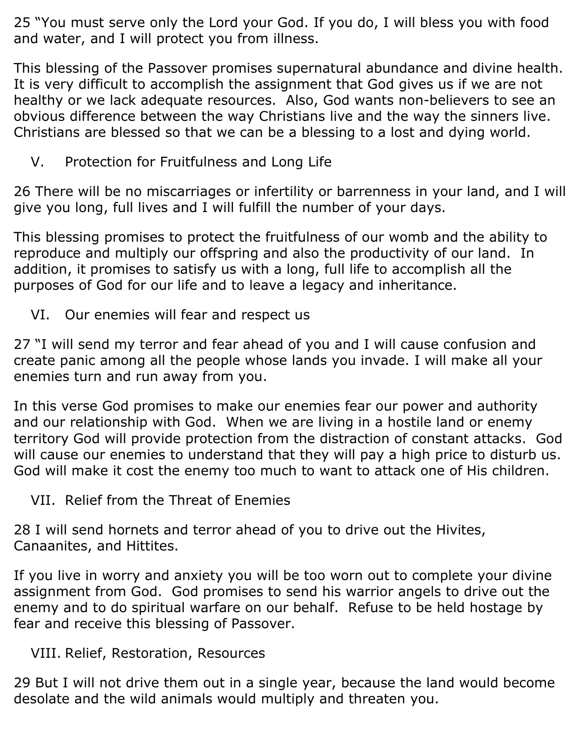25 "You must serve only the Lord your God. If you do, I will bless you with food and water, and I will protect you from illness.

This blessing of the Passover promises supernatural abundance and divine health. It is very difficult to accomplish the assignment that God gives us if we are not healthy or we lack adequate resources. Also, God wants non-believers to see an obvious difference between the way Christians live and the way the sinners live. Christians are blessed so that we can be a blessing to a lost and dying world.

V. Protection for Fruitfulness and Long Life

26 There will be no miscarriages or infertility or barrenness in your land, and I will give you long, full lives and I will fulfill the number of your days.

This blessing promises to protect the fruitfulness of our womb and the ability to reproduce and multiply our offspring and also the productivity of our land. In addition, it promises to satisfy us with a long, full life to accomplish all the purposes of God for our life and to leave a legacy and inheritance.

VI. Our enemies will fear and respect us

27 "I will send my terror and fear ahead of you and I will cause confusion and create panic among all the people whose lands you invade. I will make all your enemies turn and run away from you.

In this verse God promises to make our enemies fear our power and authority and our relationship with God. When we are living in a hostile land or enemy territory God will provide protection from the distraction of constant attacks. God will cause our enemies to understand that they will pay a high price to disturb us. God will make it cost the enemy too much to want to attack one of His children.

VII. Relief from the Threat of Enemies

28 I will send hornets and terror ahead of you to drive out the Hivites, Canaanites, and Hittites.

If you live in worry and anxiety you will be too worn out to complete your divine assignment from God. God promises to send his warrior angels to drive out the enemy and to do spiritual warfare on our behalf. Refuse to be held hostage by fear and receive this blessing of Passover.

VIII. Relief, Restoration, Resources

29 But I will not drive them out in a single year, because the land would become desolate and the wild animals would multiply and threaten you.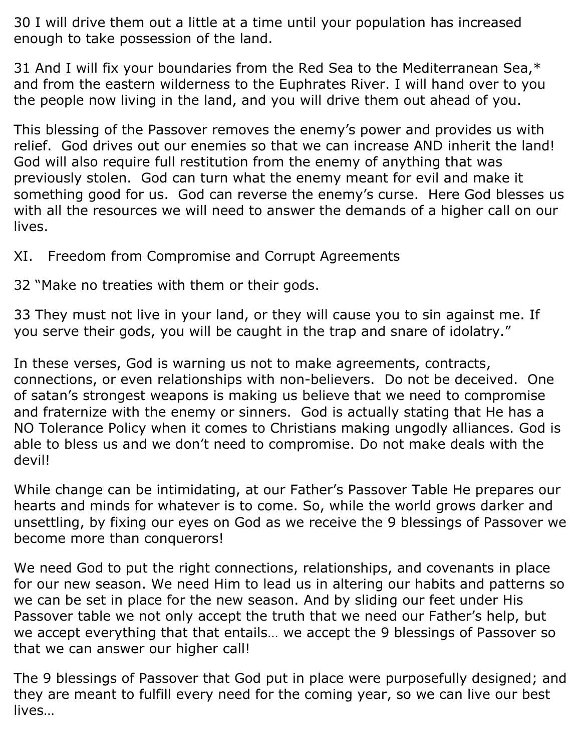30 I will drive them out a little at a time until your population has increased enough to take possession of the land.

31 And I will fix your boundaries from the Red Sea to the Mediterranean Sea,\* and from the eastern wilderness to the Euphrates River. I will hand over to you the people now living in the land, and you will drive them out ahead of you.

This blessing of the Passover removes the enemy's power and provides us with relief. God drives out our enemies so that we can increase AND inherit the land! God will also require full restitution from the enemy of anything that was previously stolen. God can turn what the enemy meant for evil and make it something good for us. God can reverse the enemy's curse. Here God blesses us with all the resources we will need to answer the demands of a higher call on our lives.

XI. Freedom from Compromise and Corrupt Agreements

32 "Make no treaties with them or their gods.

33 They must not live in your land, or they will cause you to sin against me. If you serve their gods, you will be caught in the trap and snare of idolatry."

In these verses, God is warning us not to make agreements, contracts, connections, or even relationships with non-believers. Do not be deceived. One of satan's strongest weapons is making us believe that we need to compromise and fraternize with the enemy or sinners. God is actually stating that He has a NO Tolerance Policy when it comes to Christians making ungodly alliances. God is able to bless us and we don't need to compromise. Do not make deals with the devil!

While change can be intimidating, at our Father's Passover Table He prepares our hearts and minds for whatever is to come. So, while the world grows darker and unsettling, by fixing our eyes on God as we receive the 9 blessings of Passover we become more than conquerors!

We need God to put the right connections, relationships, and covenants in place for our new season. We need Him to lead us in altering our habits and patterns so we can be set in place for the new season. And by sliding our feet under His Passover table we not only accept the truth that we need our Father's help, but we accept everything that that entails… we accept the 9 blessings of Passover so that we can answer our higher call!

The 9 blessings of Passover that God put in place were purposefully designed; and they are meant to fulfill every need for the coming year, so we can live our best lives…